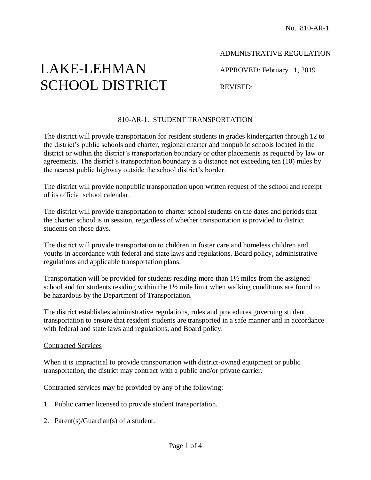# LAKE-LEHMAN SCHOOL DISTRICT

## ADMINISTRATIVE REGULATION

APPROVED: February 11, 2019

REVISED:

## 810-AR-1. STUDENT TRANSPORTATION

The district will provide transportation for resident students in grades kindergarten through 12 to the district's public schools and charter, regional charter and nonpublic schools located in the district or within the district's transportation boundary or other placements as required by law or agreements. The district's transportation boundary is a distance not exceeding ten (10) miles by the nearest public highway outside the school district's border.

The district will provide nonpublic transportation upon written request of the school and receipt of its official school calendar.

The district will provide transportation to charter school students on the dates and periods that the charter school is in session, regardless of whether transportation is provided to district students on those days.

The district will provide transportation to children in foster care and homeless children and youths in accordance with federal and state laws and regulations, Board policy, administrative regulations and applicable transportation plans.

Transportation will be provided for students residing more than 1½ miles from the assigned school and for students residing within the 1½ mile limit when walking conditions are found to be hazardous by the Department of Transportation.

The district establishes administrative regulations, rules and procedures governing student transportation to ensure that resident students are transported in a safe manner and in accordance with federal and state laws and regulations, and Board policy.

#### Contracted Services

When it is impractical to provide transportation with district-owned equipment or public transportation, the district may contract with a public and/or private carrier.

Contracted services may be provided by any of the following:

- 1. Public carrier licensed to provide student transportation.
- 2. Parent(s)/Guardian(s) of a student.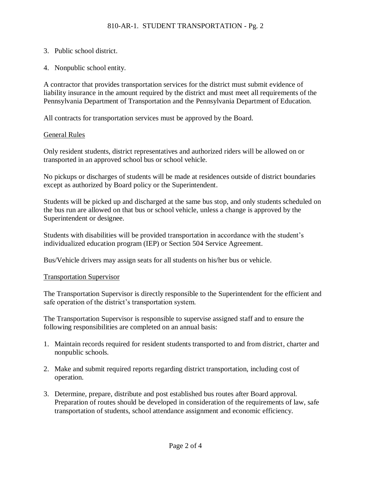- 3. Public school district.
- 4. Nonpublic school entity.

A contractor that provides transportation services for the district must submit evidence of liability insurance in the amount required by the district and must meet all requirements of the Pennsylvania Department of Transportation and the Pennsylvania Department of Education.

All contracts for transportation services must be approved by the Board.

#### General Rules

Only resident students, district representatives and authorized riders will be allowed on or transported in an approved school bus or school vehicle.

No pickups or discharges of students will be made at residences outside of district boundaries except as authorized by Board policy or the Superintendent.

Students will be picked up and discharged at the same bus stop, and only students scheduled on the bus run are allowed on that bus or school vehicle, unless a change is approved by the Superintendent or designee.

Students with disabilities will be provided transportation in accordance with the student's individualized education program (IEP) or Section 504 Service Agreement.

Bus/Vehicle drivers may assign seats for all students on his/her bus or vehicle.

#### Transportation Supervisor

The Transportation Supervisor is directly responsible to the Superintendent for the efficient and safe operation of the district's transportation system.

The Transportation Supervisor is responsible to supervise assigned staff and to ensure the following responsibilities are completed on an annual basis:

- 1. Maintain records required for resident students transported to and from district, charter and nonpublic schools.
- 2. Make and submit required reports regarding district transportation, including cost of operation.
- 3. Determine, prepare, distribute and post established bus routes after Board approval. Preparation of routes should be developed in consideration of the requirements of law, safe transportation of students, school attendance assignment and economic efficiency.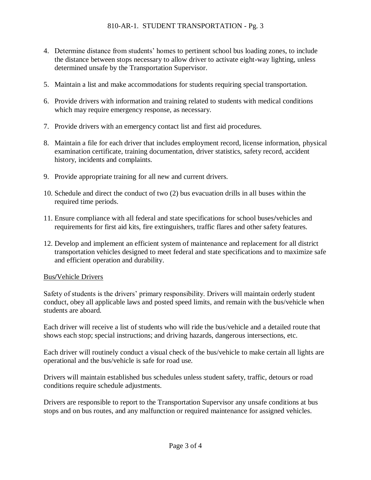- 4. Determine distance from students' homes to pertinent school bus loading zones, to include the distance between stops necessary to allow driver to activate eight-way lighting, unless determined unsafe by the Transportation Supervisor.
- 5. Maintain a list and make accommodations for students requiring special transportation.
- 6. Provide drivers with information and training related to students with medical conditions which may require emergency response, as necessary.
- 7. Provide drivers with an emergency contact list and first aid procedures.
- 8. Maintain a file for each driver that includes employment record, license information, physical examination certificate, training documentation, driver statistics, safety record, accident history, incidents and complaints.
- 9. Provide appropriate training for all new and current drivers.
- 10. Schedule and direct the conduct of two (2) bus evacuation drills in all buses within the required time periods.
- 11. Ensure compliance with all federal and state specifications for school buses**/**vehicles and requirements for first aid kits, fire extinguishers, traffic flares and other safety features.
- 12. Develop and implement an efficient system of maintenance and replacement for all district transportation vehicles designed to meet federal and state specifications and to maximize safe and efficient operation and durability.

#### Bus**/**Vehicle Drivers

Safety of students is the drivers' primary responsibility. Drivers will maintain orderly student conduct, obey all applicable laws and posted speed limits, and remain with the bus/vehicle when students are aboard.

Each driver will receive a list of students who will ride the bus/vehicle and a detailed route that shows each stop; special instructions; and driving hazards, dangerous intersections, etc.

Each driver will routinely conduct a visual check of the bus/vehicle to make certain all lights are operational and the bus/vehicle is safe for road use.

Drivers will maintain established bus schedules unless student safety, traffic, detours or road conditions require schedule adjustments.

Drivers are responsible to report to the Transportation Supervisor any unsafe conditions at bus stops and on bus routes, and any malfunction or required maintenance for assigned vehicles.